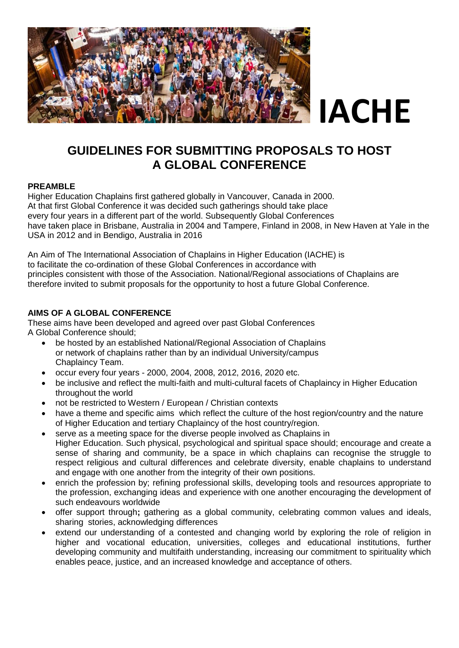

### **GUIDELINES FOR SUBMITTING PROPOSALS TO HOST A GLOBAL CONFERENCE**

#### **PREAMBLE**

Higher Education Chaplains first gathered globally in Vancouver, Canada in 2000. At that first Global Conference it was decided such gatherings should take place every four years in a different part of the world. Subsequently Global Conferences have taken place in Brisbane, Australia in 2004 and Tampere, Finland in 2008, in New Haven at Yale in the USA in 2012 and in Bendigo, Australia in 2016

An Aim of The International Association of Chaplains in Higher Education (IACHE) is to facilitate the co-ordination of these Global Conferences in accordance with principles consistent with those of the Association. National/Regional associations of Chaplains are therefore invited to submit proposals for the opportunity to host a future Global Conference.

#### **AIMS OF A GLOBAL CONFERENCE**

These aims have been developed and agreed over past Global Conferences A Global Conference should;

- be hosted by an established National/Regional Association of Chaplains or network of chaplains rather than by an individual University/campus Chaplaincy Team.
- occur every four years 2000, 2004, 2008, 2012, 2016, 2020 etc.
- be inclusive and reflect the multi-faith and multi-cultural facets of Chaplaincy in Higher Education throughout the world
- not be restricted to Western / European / Christian contexts
- have a theme and specific aims which reflect the culture of the host region/country and the nature of Higher Education and tertiary Chaplaincy of the host country/region.
- serve as a meeting space for the diverse people involved as Chaplains in Higher Education. Such physical, psychological and spiritual space should; encourage and create a sense of sharing and community, be a space in which chaplains can recognise the struggle to respect religious and cultural differences and celebrate diversity, enable chaplains to understand and engage with one another from the integrity of their own positions.
- enrich the profession by; refining professional skills, developing tools and resources appropriate to the profession, exchanging ideas and experience with one another encouraging the development of such endeavours worldwide
- offer support through**;** gathering as a global community, celebrating common values and ideals, sharing stories, acknowledging differences
- extend our understanding of a contested and changing world by exploring the role of religion in higher and vocational education, universities, colleges and educational institutions, further developing community and multifaith understanding, increasing our commitment to spirituality which enables peace, justice, and an increased knowledge and acceptance of others.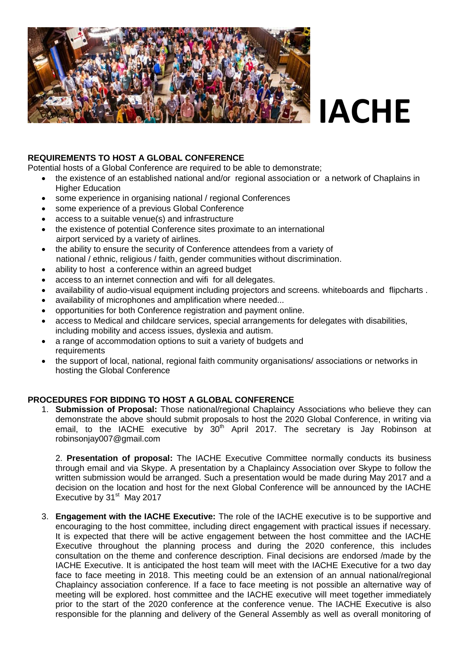

## **IACHE**

#### **REQUIREMENTS TO HOST A GLOBAL CONFERENCE**

Potential hosts of a Global Conference are required to be able to demonstrate;

- the existence of an established national and/or regional association or a network of Chaplains in Higher Education
- some experience in organising national / regional Conferences
- some experience of a previous Global Conference
- access to a suitable venue(s) and infrastructure
- the existence of potential Conference sites proximate to an international airport serviced by a variety of airlines.
- the ability to ensure the security of Conference attendees from a variety of national / ethnic, religious / faith, gender communities without discrimination.
- ability to host a conference within an agreed budget
- access to an internet connection and wifi for all delegates.
- availability of audio-visual equipment including projectors and screens. whiteboards and flipcharts .
- availability of microphones and amplification where needed...
- opportunities for both Conference registration and payment online.
- access to Medical and childcare services, special arrangements for delegates with disabilities, including mobility and access issues, dyslexia and autism.
- a range of accommodation options to suit a variety of budgets and requirements
- the support of local, national, regional faith community organisations/ associations or networks in hosting the Global Conference

#### **PROCEDURES FOR BIDDING TO HOST A GLOBAL CONFERENCE**

1. **Submission of Proposal:** Those national/regional Chaplaincy Associations who believe they can demonstrate the above should submit proposals to host the 2020 Global Conference, in writing via email, to the IACHE executive by  $30<sup>th</sup>$  April 2017. The secretary is Jay Robinson at robinsonjay007@gmail.com

2. **Presentation of proposal:** The IACHE Executive Committee normally conducts its business through email and via Skype. A presentation by a Chaplaincy Association over Skype to follow the written submission would be arranged. Such a presentation would be made during May 2017 and a decision on the location and host for the next Global Conference will be announced by the IACHE Executive by 31<sup>st</sup> May 2017

3. **Engagement with the IACHE Executive:** The role of the IACHE executive is to be supportive and encouraging to the host committee, including direct engagement with practical issues if necessary. It is expected that there will be active engagement between the host committee and the IACHE Executive throughout the planning process and during the 2020 conference, this includes consultation on the theme and conference description. Final decisions are endorsed /made by the IACHE Executive. It is anticipated the host team will meet with the IACHE Executive for a two day face to face meeting in 2018. This meeting could be an extension of an annual national/regional Chaplaincy association conference. If a face to face meeting is not possible an alternative way of meeting will be explored. host committee and the IACHE executive will meet together immediately prior to the start of the 2020 conference at the conference venue. The IACHE Executive is also responsible for the planning and delivery of the General Assembly as well as overall monitoring of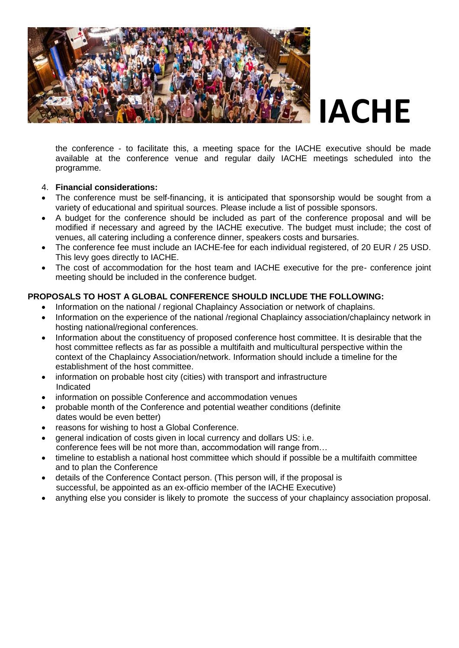

the conference - to facilitate this, a meeting space for the IACHE executive should be made available at the conference venue and regular daily IACHE meetings scheduled into the programme.

#### 4. **Financial considerations:**

- The conference must be self-financing, it is anticipated that sponsorship would be sought from a variety of educational and spiritual sources. Please include a list of possible sponsors.
- A budget for the conference should be included as part of the conference proposal and will be modified if necessary and agreed by the IACHE executive. The budget must include; the cost of venues, all catering including a conference dinner, speakers costs and bursaries.
- The conference fee must include an IACHE-fee for each individual registered, of 20 EUR / 25 USD. This levy goes directly to IACHE.
- The cost of accommodation for the host team and IACHE executive for the pre- conference joint meeting should be included in the conference budget.

#### **PROPOSALS TO HOST A GLOBAL CONFERENCE SHOULD INCLUDE THE FOLLOWING:**

- Information on the national / regional Chaplaincy Association or network of chaplains.
- Information on the experience of the national /regional Chaplaincy association/chaplaincy network in hosting national/regional conferences.
- Information about the constituency of proposed conference host committee. It is desirable that the host committee reflects as far as possible a multifaith and multicultural perspective within the context of the Chaplaincy Association/network. Information should include a timeline for the establishment of the host committee.
- information on probable host city (cities) with transport and infrastructure Indicated
- information on possible Conference and accommodation venues
- probable month of the Conference and potential weather conditions (definite dates would be even better)
- reasons for wishing to host a Global Conference.
- general indication of costs given in local currency and dollars US: i.e. conference fees will be not more than, accommodation will range from…
- timeline to establish a national host committee which should if possible be a multifaith committee and to plan the Conference
- details of the Conference Contact person. (This person will, if the proposal is successful, be appointed as an ex-officio member of the IACHE Executive)
- anything else you consider is likely to promote the success of your chaplaincy association proposal.